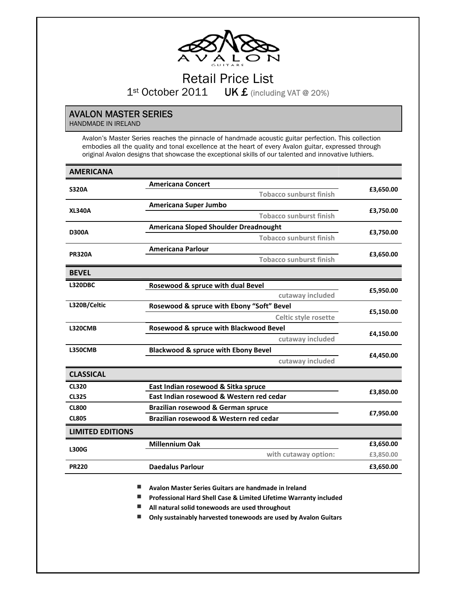

# Retail Price List 1st October 2011 UK £ (including VAT @ 20%)

## AVALON MASTER SERIES

HANDMADE IN IRELAND

Avalon's Master Series reaches the pinnacle of handmade acoustic guitar perfection. This collection embodies all the quality and tonal excellence at the heart of every Avalon guitar, expressed through original Avalon designs that showcase the exceptional skills of our talented and innovative luthiers.

| <b>AMERICANA</b>        |                                                |           |  |
|-------------------------|------------------------------------------------|-----------|--|
|                         | <b>Americana Concert</b>                       |           |  |
| <b>S320A</b>            | <b>Tobacco sunburst finish</b>                 | £3,650.00 |  |
| <b>XL340A</b>           | Americana Super Jumbo                          |           |  |
|                         | <b>Tobacco sunburst finish</b>                 | £3,750.00 |  |
| <b>D300A</b>            | <b>Americana Sloped Shoulder Dreadnought</b>   | £3,750.00 |  |
|                         | <b>Tobacco sunburst finish</b>                 |           |  |
| <b>PR320A</b>           | <b>Americana Parlour</b>                       |           |  |
|                         | <b>Tobacco sunburst finish</b>                 | £3,650.00 |  |
| <b>BEVEL</b>            |                                                |           |  |
| <b>L320DBC</b>          | Rosewood & spruce with dual Bevel              |           |  |
|                         | cutaway included                               | £5,950.00 |  |
| L320B/Celtic            | Rosewood & spruce with Ebony "Soft" Bevel      | £5,150.00 |  |
|                         | Celtic style rosette                           |           |  |
| <b>L320CMB</b>          | Rosewood & spruce with Blackwood Bevel         |           |  |
|                         | cutaway included                               | £4,150.00 |  |
| <b>L350CMB</b>          | <b>Blackwood &amp; spruce with Ebony Bevel</b> | £4,450.00 |  |
|                         | cutaway included                               |           |  |
| <b>CLASSICAL</b>        |                                                |           |  |
| <b>CL320</b>            | East Indian rosewood & Sitka spruce            |           |  |
| <b>CL325</b>            | East Indian rosewood & Western red cedar       | £3,850.00 |  |
| <b>CL800</b>            | Brazilian rosewood & German spruce             | £7,950.00 |  |
| <b>CL805</b>            | Brazilian rosewood & Western red cedar         |           |  |
| <b>LIMITED EDITIONS</b> |                                                |           |  |
| <b>L300G</b>            | <b>Millennium Oak</b>                          | £3,650.00 |  |
|                         | with cutaway option:                           | £3,850.00 |  |
| <b>PR220</b>            | <b>Daedalus Parlour</b>                        | £3,650.00 |  |

**Avalon Master Series Guitars are handmade in Ireland**

**Professional Hard Shell Case & Limited Lifetime Warranty included**

**All natural solid tonewoods are used throughout**

**Only sustainably harvested tonewoods are used by Avalon Guitars**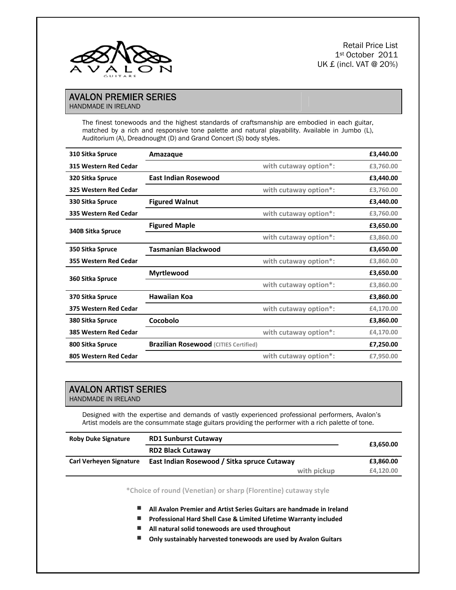

Retail Price List 1st October 2011 UK £ (incl. VAT @ 20%)

### AVALON PREMIER SERIES HANDMADE IN IRELAND

The finest tonewoods and the highest standards of craftsmanship are embodied in each guitar, matched by a rich and responsive tone palette and natural playability. Available in Jumbo (L), Auditorium (A), Dreadnought (D) and Grand Concert (S) body styles.

| 310 Sitka Spruce      | Amazaque                                     |                       | £3,440.00 |
|-----------------------|----------------------------------------------|-----------------------|-----------|
| 315 Western Red Cedar |                                              | with cutaway option*: | £3,760.00 |
| 320 Sitka Spruce      | <b>East Indian Rosewood</b>                  |                       | £3,440.00 |
| 325 Western Red Cedar |                                              | with cutaway option*: | £3,760.00 |
| 330 Sitka Spruce      | <b>Figured Walnut</b>                        |                       | £3,440.00 |
| 335 Western Red Cedar |                                              | with cutaway option*: | £3,760.00 |
|                       | <b>Figured Maple</b>                         |                       | £3,650.00 |
| 340B Sitka Spruce     |                                              | with cutaway option*: | £3,860.00 |
| 350 Sitka Spruce      | <b>Tasmanian Blackwood</b>                   |                       | £3,650.00 |
| 355 Western Red Cedar |                                              | with cutaway option*: | £3,860.00 |
| 360 Sitka Spruce      | <b>Myrtlewood</b>                            |                       | £3,650.00 |
|                       |                                              | with cutaway option*: | £3,860.00 |
| 370 Sitka Spruce      | <b>Hawaiian Koa</b>                          |                       | £3,860.00 |
| 375 Western Red Cedar |                                              | with cutaway option*: | £4,170.00 |
| 380 Sitka Spruce      | Cocobolo                                     |                       | £3,860.00 |
| 385 Western Red Cedar |                                              | with cutaway option*: | £4,170.00 |
| 800 Sitka Spruce      | <b>Brazilian Rosewood (CITIES Certified)</b> |                       | £7,250.00 |
| 805 Western Red Cedar |                                              | with cutaway option*: | £7,950.00 |

## AVALON ARTIST SERIES

HANDMADE IN IRELAND

Designed with the expertise and demands of vastly experienced professional performers, Avalon's Artist models are the consummate stage guitars providing the performer with a rich palette of tone.

| <b>Roby Duke Signature</b>     | <b>RD1 Sunburst Cutaway</b>                 | £3,650.00 |
|--------------------------------|---------------------------------------------|-----------|
|                                | <b>RD2 Black Cutaway</b>                    |           |
| <b>Carl Verheyen Signature</b> | East Indian Rosewood / Sitka spruce Cutaway | £3,860.00 |
|                                | with pickup                                 | £4.120.00 |

**\*Choice of round (Venetian) or sharp (Florentine) cutaway style**

**All Avalon Premier and Artist Series Guitars are handmade in Ireland** 

**Professional Hard Shell Case & Limited Lifetime Warranty included**

**All natural solid tonewoods are used throughout**

**Only sustainably harvested tonewoods are used by Avalon Guitars**